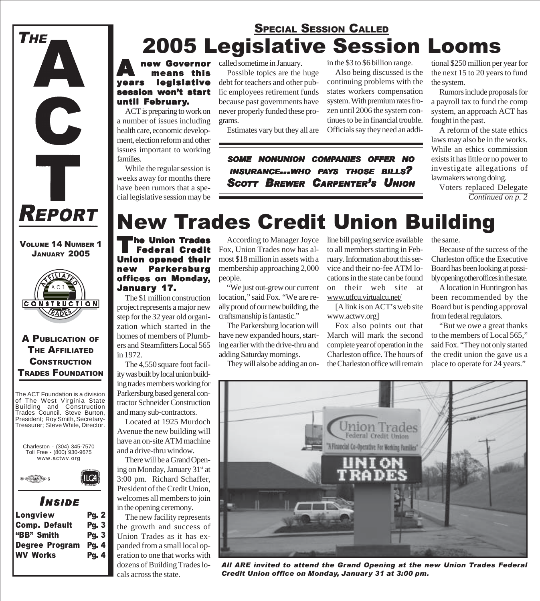

#### VOLUME 14 NUMBER 1 JANUARY 2005



### A PUBLICATION OF THE AFFILIATED **CONSTRUCTION** TRADES FOUNDATION

The ACT Foundation is a division of The West Virginia State Building and Construction Trades Council. Steve Burton, President; Roy Smith, Secretary-Treasurer; Steve White, Director.



### *I NSIDE*

| <b>Longview</b>       | <b>Pg. 2</b> |
|-----------------------|--------------|
| <b>Comp. Default</b>  | <b>Pg. 3</b> |
| "BB" Smith            | <b>Pg. 3</b> |
| <b>Degree Program</b> | <b>Pg. 4</b> |
| <b>WV Works</b>       | <b>Pg. 4</b> |
|                       |              |

### 2005 Legislative Session Looms SPECIAL SESSION CALLED

### **A new Governor<br>
The means this<br>
Vears legislative**  $\blacksquare$  means this legislative session won't start until February.

ACT is preparing to work on a number of issues including health care, economic development, election reform and other issues important to working families.

While the regular session is weeks away for months there have been rumors that a special legislative session may be called sometime in January.

Possible topics are the huge debt for teachers and other public employees retirement funds because past governments have never properly funded these programs.

Estimates vary but they all are

in the \$3 to \$6 billion range.

Also being discussed is the continuing problems with the states workers compensation system. With premium rates frozen until 2006 the system continues to be in financial trouble. Officials say they need an addi-

*SOME NONUNION COMPANIES OFFER NO INSURANCE...WHO PAYS THOSE BILLS? SCOTT BREWER CARPENTER'S UNION*

tional \$250 million per year for the next 15 to 20 years to fund the system.

Rumors include proposals for a payroll tax to fund the comp system, an approach ACT has fought in the past.

A reform of the state ethics laws may also be in the works. While an ethics commission exists it has little or no power to investigate allegations of lawmakers wrong doing.

Voters replaced Delegate *Continued on p. 2*

## New Trades Credit Union Building

<sup>I</sup>he Union Trades Federal Credit Union opened their new Parkersburg offices on Monday, January 17.

The \$1 million construction project represents a major new step for the 32 year old organization which started in the homes of members of Plumbers and Steamfitters Local 565 in 1972.

The 4,550 square foot facility was built by local union building trades members working for Parkersburg based general contractor Schneider Construction and many sub-contractors.

Located at 1925 Murdoch Avenue the new building will have an on-site ATM machine and a drive-thru window.

There will be a Grand Opening on Monday, January 31<sup>st</sup> at 3:00 pm. Richard Schaffer, President of the Credit Union, welcomes all members to join in the opening ceremony.

The new facility represents the growth and success of Union Trades as it has expanded from a small local operation to one that works with dozens of Building Trades locals across the state.

According to Manager Joyce line bill paying service available Fox, Union Trades now has almost \$18 million in assets with a membership approaching 2,000 people.

"We just out-grew our current location," said Fox. "We are really proud of our new building, the craftsmanship is fantastic."

The Parkersburg location will have new expanded hours, starting earlier with the drive-thru and adding Saturday mornings.

They will also be adding an on-

to all members starting in February. Information about this service and their no-fee ATM locations in the state can be found on their web site at www.utfcu.virtualcu.net/

[A link is on ACT's web site www.actwv.org]

Fox also points out that March will mark the second complete year of operation in the Charleston office. The hours of the Charleston office will remain

the same.

Because of the success of the Charleston office the Executive Board has been looking at possibly opening other offices in the state.

A location in Huntington has been recommended by the Board but is pending approval from federal regulators.

"But we owe a great thanks to the members of Local 565," said Fox. "They not only started the credit union the gave us a place to operate for 24 years."



*All ARE invited to attend the Grand Opening at the new Union Trades Federal Credit Union office on Monday, January 31 at 3:00 pm.*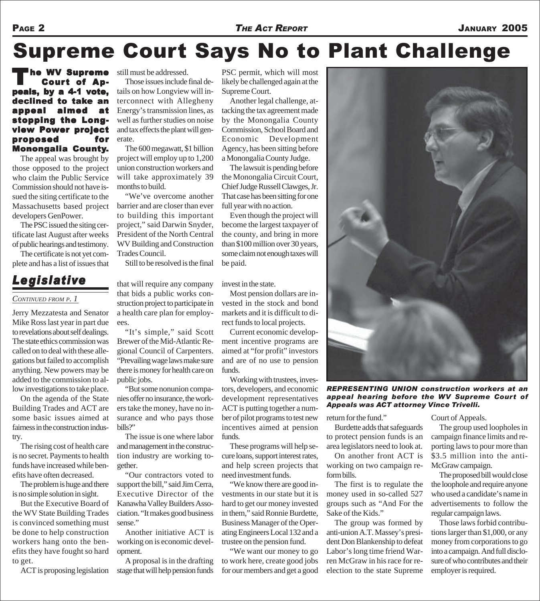# Supreme Court Says No to Plant Challenge

The WV Supreme<br>Court of Appeals, by a 4-1 vote, declined to take an appeal aimed at stopping the Longview Power project proposed for Monongalia County.

The appeal was brought by those opposed to the project who claim the Public Service Commission should not have issued the siting certificate to the Massachusetts based project developers GenPower.

The PSC issued the siting certificate last August after weeks of public hearings and testimony.

The certificate is not yet complete and has a list of issues that

### *Legislative*

#### *CONTINUED FROM P. 1*

Jerry Mezzatesta and Senator Mike Ross last year in part due to revelations about self dealings. The state ethics commission was called on to deal with these allegations but failed to accomplish anything. New powers may be added to the commission to allow investigations to take place.

On the agenda of the State Building Trades and ACT are some basic issues aimed at fairness in the construction industry.

The rising cost of health care is no secret. Payments to health funds have increased while benefits have often decreased.

The problem is huge and there is no simple solution in sight.

But the Executive Board of the WV State Building Trades is convinced something must be done to help construction workers hang onto the benefits they have fought so hard to get.

still must be addressed.

Those issues include final details on how Longview will interconnect with Allegheny Energy's transmission lines, as well as further studies on noise and tax effects the plant will generate.

The 600 megawatt, \$1 billion project will employ up to 1,200 union construction workers and will take approximately 39 months to build.

"We've overcome another barrier and are closer than ever to building this important project," said Darwin Snyder, President of the North Central WV Building and Construction Trades Council.

Still to be resolved is the final

that will require any company that bids a public works construction project to participate in a health care plan for employees.

"It's simple," said Scott Brewer of the Mid-Atlantic Regional Council of Carpenters. "Prevailing wage laws make sure there is money for health care on public jobs.

"But some nonunion companies offer no insurance, the workers take the money, have no insurance and who pays those bills?"

The issue is one where labor and management in the construction industry are working together.

"Our contractors voted to support the bill," said Jim Cerra, Executive Director of the Kanawha Valley Builders Association. "It makes good business sense."

Another initiative ACT is working on is economic development.

ACT is proposing legislation stage that will help pension funds A proposal is in the drafting PSC permit, which will most likely be challenged again at the Supreme Court.

Another legal challenge, attacking the tax agreement made by the Monongalia County Commission, School Board and Economic Development Agency, has been sitting before a Monongalia County Judge.

The lawsuit is pending before the Monongalia Circuit Court, Chief Judge Russell Clawges, Jr. That case has been sitting for one full year with no action.

Even though the project will become the largest taxpayer of the county, and bring in more than \$100 million over 30 years, some claim not enough taxes will be paid.

invest in the state.

Most pension dollars are invested in the stock and bond markets and it is difficult to direct funds to local projects.

Current economic development incentive programs are aimed at "for profit" investors and are of no use to pension funds.

Working with trustees, investors, developers, and economic development representatives ACT is putting together a number of pilot programs to test new incentives aimed at pension funds.

These programs will help secure loans, support interest rates, and help screen projects that need investment funds.

"We know there are good investments in our state but it is hard to get our money invested in them," said Ronnie Burdette, Business Manager of the Operating Engineers Local 132 and a trustee on the pension fund.

"We want our money to go to work here, create good jobs for our members and get a good



*REPRESENTING UNION construction workers at an appeal hearing before the WV Supreme Court of Appeals was ACT attorney Vince Trivelli.*

return for the fund."

Burdette adds that safeguards to protect pension funds is an area legislators need to look at.

On another front ACT is working on two campaign reform bills.

The first is to regulate the money used in so-called 527 groups such as "And For the Sake of the Kids."

The group was formed by anti-union A.T. Massey's president Don Blankenship to defeat Labor's long time friend Warren McGraw in his race for reelection to the state Supreme Court of Appeals.

The group used loopholes in campaign finance limits and reporting laws to pour more than \$3.5 million into the anti-McGraw campaign.

The proposed bill would close the loophole and require anyone who used a candidate's name in advertisements to follow the regular campaign laws.

Those laws forbid contributions larger than \$1,000, or any money from corporations to go into a campaign. And full disclosure of who contributes and their employer is required.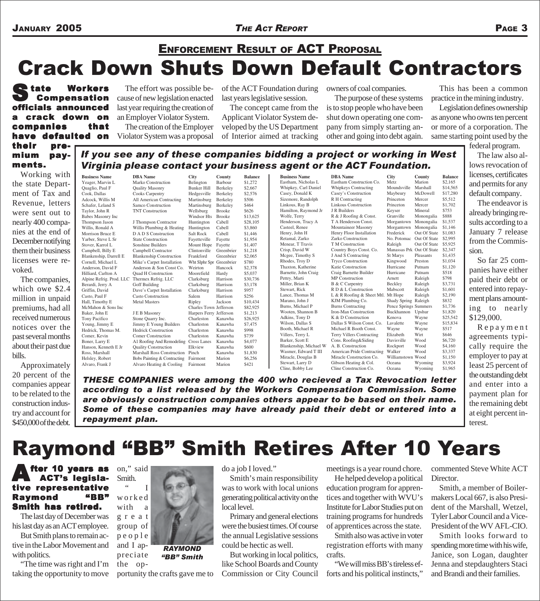### JANUARY 2005 *THE ACT REPORT* PAGE 3

### Crack Down Shuts Down Default Contractors ENFORCEMENT RESULT OF ACT PROPOSAL

State Workers<br>
Compensation officials announced a crack down on companies that have defaulted on their pre-*If you see any of these companies bidding a project or working in West*

The effort was possible because of new legislation enacted last year requiring the creation of an Employer Violator System.

The creation of the Employer Violator System was a proposal

of the ACT Foundation during last years legislative session.

The concept came from the Applicant Violator System developed by the US Department of Interior aimed at tracking owners of coal companies.

The purpose of these systems is to stop people who have been shut down operating one company from simply starting another and going into debt again.

This has been a common practice in the mining industry.

Legislation defines ownership as anyone who owns ten percent or more of a corporation. The same starting point used by the

mium payments.

Working with the state Department of Tax and Revenue, letters were sent out to nearly 400 companies at the end of December notifying them their business licenses were revoked.

The companies, which owe \$2.4 million in unpaid premiums, had all received numerous notices over the past several months about their past due bills.

Approximately 20 percent of the companies appear to be related to the construction industry and account for \$450,000 of the debt.

Yarber, Steve L Sr State Construction Fayetteville Fayette Blankenship, Darrell E Blankenship Construction<br>Cornell, Michael L Mike's Carpet Installation Anderson, David F<br>
Hilliard. Carlton A Construction Moorefield<br>
Moorefield Ross, Marshall Marshall Ross Construction Pinch Kanawha \$1,830<br>
Helsley, Robert Bobs Painting & Contracting Fairmont Marion \$6,256 Bobs Painting & Contracting Alvaro, Frank J Alvaro Heating & Cooling Fairmont Marion \$421

*Virginia please contact your business agent or the ACT Foundation.* **Business Name DBA Name City County Balance**<br> **Peager, Marvin L Marko Construction Belington Barbour \$1,272** Yeager, Marvin L Marko Construction Belington Barbour \$1,272<br>Quaglio, Paul F Quality Masonry Bunker Hill Berkeley \$2,667 Quaglio, Paul F Quality Masonry Bunker Hill Berkeley \$2,667 Cooks Carpentry Hedgesville Berkeley<br>All American Contracting Martinsburg Berkeley Adcock, Willis M All American Contracting Martinsburg Berkeley \$506<br>Schafer, Leland S Samco Construction Martinsburg Berkeley \$464 Schafer, Leland S Samco Construction Martinsburg Berkeley \$464 Taylor, John R TNT Construction Wellsburg Brooke \$626<br>Babes Masonry Inc Windsor Hts Brooke \$13,625 Babes Masonry Inc Windsor Hts Brooke \$13,625 Thompson Jason J Thompson Contractor Huntington Cabell \$28,10:<br>Willis, Ronald A Willis Plumbing & Heating Huntington Cabell \$3,860 Willis, Ronald A Willis Plumbing & Heating Huntington Cabell \$3,860<br>Morrison Bruce E D A D S Construction Salt Rock Cabell \$1.446 D A D S Construction Salt Rock Cabell \$1,446<br>State Construction Favetteville Favette \$1,954 Stover, Karrol L Sonshine Builders Mount Hope Fayette \$1,407 Campbell, Billy E Campbell Contractor Clintonville Greenbrier \$1,218 Cornell, Michael L Mike's Carpet Installation Wht Slphr Spr Greenbrier \$780<br>Anderson, David F Anderson & Son Const Co. Weirton Hancock \$2,378 Quad H Construction Moorefield Hardy \$5,037<br>Thermex Refrig. LLC Clarksburg Harrison \$30.736 Alpine Refrig. Prod. LLC Thermex Refrig. LLC Clarksburg Harrison \$30,73<br>Berardi, Jerry A Goff Building Clarksburg Harrison \$3,178 Berardi, Jerry A Goff Building Clarksburg Harrison \$3,17<br>Griffin, David Dave's Carpet Installation Clarksburg Harrison \$957 Griffin, David Dave's Carpet Installation Clarksburg Harrison \$957<br>Casto, Paul F Casto Construction Salem Harrison \$256 Casto Construction Salem Harrison<br>
Metal Masters Ripley Jackson Hall, Timothy E Metal Masters Ripley Jackson \$10,434 McMahon & Sons Inc Charles Town Jefferson \$82,925 Baker, John E J E B Masonry Harpers Ferry Jefferson \$1,213<br>
Tony Pacifico Stone Quarry Inc. Charleston Kanawha \$26,925 Tony Pacifico Stone Quarry Inc. Charleston Kanawha \$26,92<br>
Young, Jimmy E Stone Builders Charleston Kanawha \$7,475 Young, Jimmy E Jimmy E Young Builders Charleston Kanawha \$7,47<br>Hedrick Thomas M. Hedrick Construction Charleston Kanawha \$998 Hedrick, Thomas M. Hedrick Construction Charleston Kanawha \$998<br>
Comer Kevin Comer Construction Charleston Kanawha \$739 Comer Construction Charleston Kanawha \$739<br>Al Roofing And Remodeling Cross Lanes Kanawha \$4.077 Boner, Larry E A1 Roofing And Remodeling Cross Lanes Kanawha Hanson, Kenneth E Jr Quality Construction Elkview Kanawha \$600

Blankenship, Michael W.

**Business Name DBA Name City County Balance** Eastham, Nicholas L Eastham Construction Co. Metz Marion \$2,165 Whipkeys Contracting Moundsvil<br>Casey's Construction Maybeury Casey, Donald K Casey's Construction Maybeury McDowell \$17,280 Sizemore, Randolph R H Contracting Princeton Mercer \$5,512<br>
Linkous, Ray B Linkous Construction Princeton Mercer \$1,702 Linkous Construction Princeton Mercer \$1,70<br>
J R Builders Keyser Mineral \$753 Hamilton, Raymond Jr J R Builders Keyser Mineral \$753<br>Wolfe, Terry R & J Roofing & Const. Granville Monongalia \$888 Wolfe, Terry R & J Roofing & Const. Granville Monongalia \$888<br>Henderson, Tracy A T A Henderson Const. Morgantown Monongalia \$1,537 T A Henderson Const. Casteel, Renee Mountaineer Masonry Morgantown Monongalia \$1,146<br>
Henry. John H Henry Floor Installation Frederick Out Of State \$1.083 Henry, John H Henry Floor Installation Frederick Out Of State \$1,083<br>Retamal, Zarko Zarko Construction No. Potomac Out Of State \$2,995 Retamal, Zarko Zarko Construction No. Potomac Out Of State \$2,995<br>
Menear, T Travis T M Construction Raleigh Out Of State \$5,925 Menear, T Travis T M Construction Raleigh Out Of State \$5,925<br>Crisp, David W Country Boys Const. Co. Manassas Prk Out Of State \$2,347 Country Boys Const. Co. Manassas Prk Out Of State \$2,347<br>J And S Contracting St Marys Pleasants \$1,435 Mcgee, Timothy S<br>  $M$  J And S Contracting<br>  $M$  St Marys Pleasants \$1,435<br>  $M$  Rhodes. Trov D<br>  $M$  Tryco Construction<br>  $M$  St Marys Pleasants \$1,034 Rhodes, Troy D Tryco Construction Kingwood Preston \$1,034<br>Thaxton, Katherine Katie Construction Hurricane Putnam \$1,120 Thaxton, Katherine Katie Construction Hurricane Putnam \$1,12<br>Barnette, John Craig Craig Barnette Builder Hurricane Putnam \$518 Barnette, John Craig Craig Barnette Builder Hurricane Putnam \$518 Pettry, Marti MP Construction Arnett Raleigh \$798<br>
Miller, Brian K B & C Carpentry Beckley Raleigh \$3.731 Miller, Brian K B & C Carpentry Beckley Raleigh \$3,731<br>
Stewart Rick R D & L Construction Mabscott Raleigh \$1.601  $R D & L$  Construction Mabscott Lance, Thomas M L & R Roofing & Sheet Mtl. Mt Hope Raleigh \$2,190<br>Marano, John J KJM Plumbing Co. Shady Spring Raleigh \$832 Marano, John J KJM Plumbing Co. Shady Spring Raleigh \$832<br>
Burns, Michael P Burns Contracting Pence Springs Summers \$1,736 Burns, Michael P Burns Contracting Pence Springs Summers \$1,736<br>Wooten, Shannon B Iron-Man Construction Buckhannon Upshur \$1,820 Iron-Man Construction Buckhannon Upshur Adkins, Tony D K & D Construction Kenova Wayne \$25,542 Wilson, Dallas S Dallas S Wilson Const. Co. Lavalette Wayne \$15,834<br>Booth. Michael R Michael R Booth Const. Wayne Wayne \$517 Booth, Michael R Michael R Booth Const. Wayne Wayne \$517<br>Villers, Terry L Terry Villers Contracting Elizabeth Wirt \$646 Terry Villers Contracting Elizabeth Wirt \$646<br>
Cons. Roofing&Siding Davisville Wood \$6,720 Barker, Scott E Cons. Roofing&Siding Davisville Wood \$6,720<br>Blankenship, Michael W A. B. Construction Rockport Wood \$4,160 Wasmer, Edward T III American Pride Contracting Walker Wood \$3,337<br>Miracle Douglas B Miracle Construction Co. Williamstown Wood \$1.150 Miracle, Douglas B Miracle Construction Co. Williamstown Wood \$1,150<br>Stewart, Larry D Gibson Heating & Col. Oceana Wyoming \$3,924 Stewart, Larry D Gibson Heating & Col. Oceana Wyoming \$3,924<br>Cline, Bobby Lee Cline Construction Co. Oceana Wyoming \$1,965 Cline Construction Co.

federal program. The law also allows revocation of licenses, certificates and permits for any default company.

The endeavor is already bringing results according to a January 7 release from the Commission.

So far 25 companies have either paid their debt or entered into repayment plans amounting to nearly \$129,000.

Repayment agreements typically require the employer to pay at least 25 percent of the outstanding debt and enter into a payment plan for the remaining debt at eight percent interest.

*THESE COMPANIES were among the 400 who recieved a Tax Revocation letter according to a list released by the Workers Compensation Commission. Some are obviously construction companies others appear to be based on their name. Some of these companies may have already paid their debt or entered into a repayment plan.*

Raymond "BB" Smith Retires After 10 Years

#### fter 10 years as ACT's legislative representative Raymond "BB" **Smith has retired.**

The last day of December was his last day as an ACT employee. But Smith plans to remain active in the Labor Movement and with politics.

"The time was right and I'm taking the opportunity to move



*RAYMOND "BB" Smith*

portunity the crafts gave me to

do a job I loved."

Smith's main responsibility was to work with local unions generating political activity on the local level.

Primary and general elections were the busiest times. Of course the annual Legislative sessions could be hectic as well.

But working in local politics, like School Boards and County Commission or City Council meetings is a year round chore.

He helped develop a political education program for apprentices and together with WVU's Institute for Labor Studies put on training programs for hundreds of apprentices across the state.

Smith also was active in voter registration efforts with many crafts.

"We will miss BB's tireless efforts and his political instincts,"

commented Steve White ACT Director.

Smith, a member of Boilermakers Local 667, is also President of the Marshall, Wetzel, Tyler Labor Council and a Vice-President of the WV AFL-CIO.

Smith looks forward to spending more time with his wife, Janice, son Logan, daughter Jenna and stepdaughters Staci and Brandi and their families.

preciate

the op-